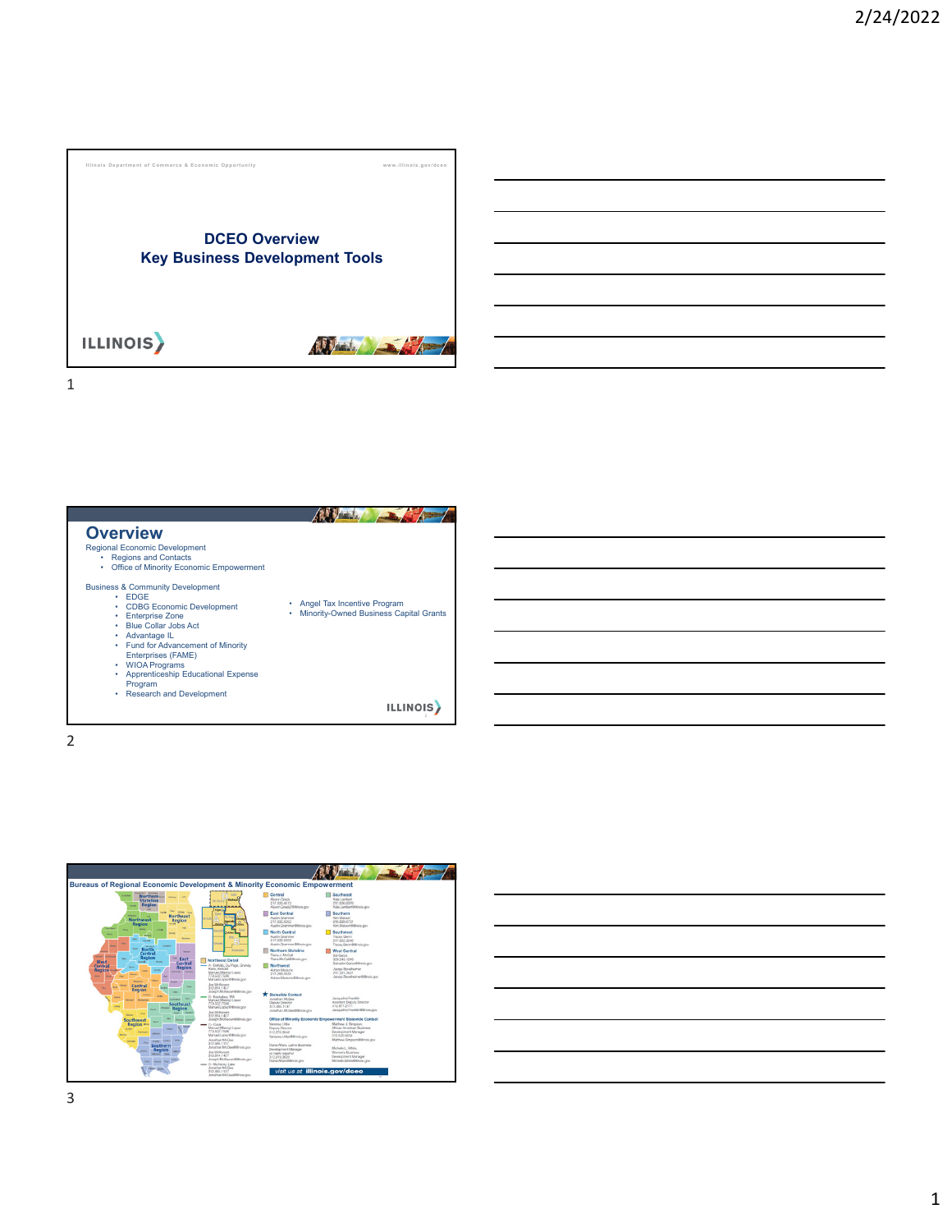





| <u> 1989 - Johann Harry Harry Harry Harry Harry Harry Harry Harry Harry Harry Harry Harry Harry Harry Harry Harry H</u> |  |  |
|-------------------------------------------------------------------------------------------------------------------------|--|--|
| <u> 1989 - Johann Stein, markin sanat masjid asl a shekara ta 1989 - An tsarat masjid asl a shekara ta 1989 - An</u>    |  |  |
| <u> 1989 - Andrea Stadt Britain, amerikansk politik (d. 1989)</u>                                                       |  |  |
| <u> 1989 - Johann Stoff, deutscher Stoff, der Stoff, der Stoff, der Stoff, der Stoff, der Stoff, der Stoff, der S</u>   |  |  |
| <u> 2000 - John Stone, amerikansk politik (d. 1982)</u>                                                                 |  |  |
| <u> 1989 - Johann Harry Harry Harry Harry Harry Harry Harry Harry Harry Harry Harry Harry Harry Harry Harry Harry H</u> |  |  |
| <u> Alexandro de la contrada de la contrada de la contrada de la contrada de la contrada de la contrada de la co</u>    |  |  |
|                                                                                                                         |  |  |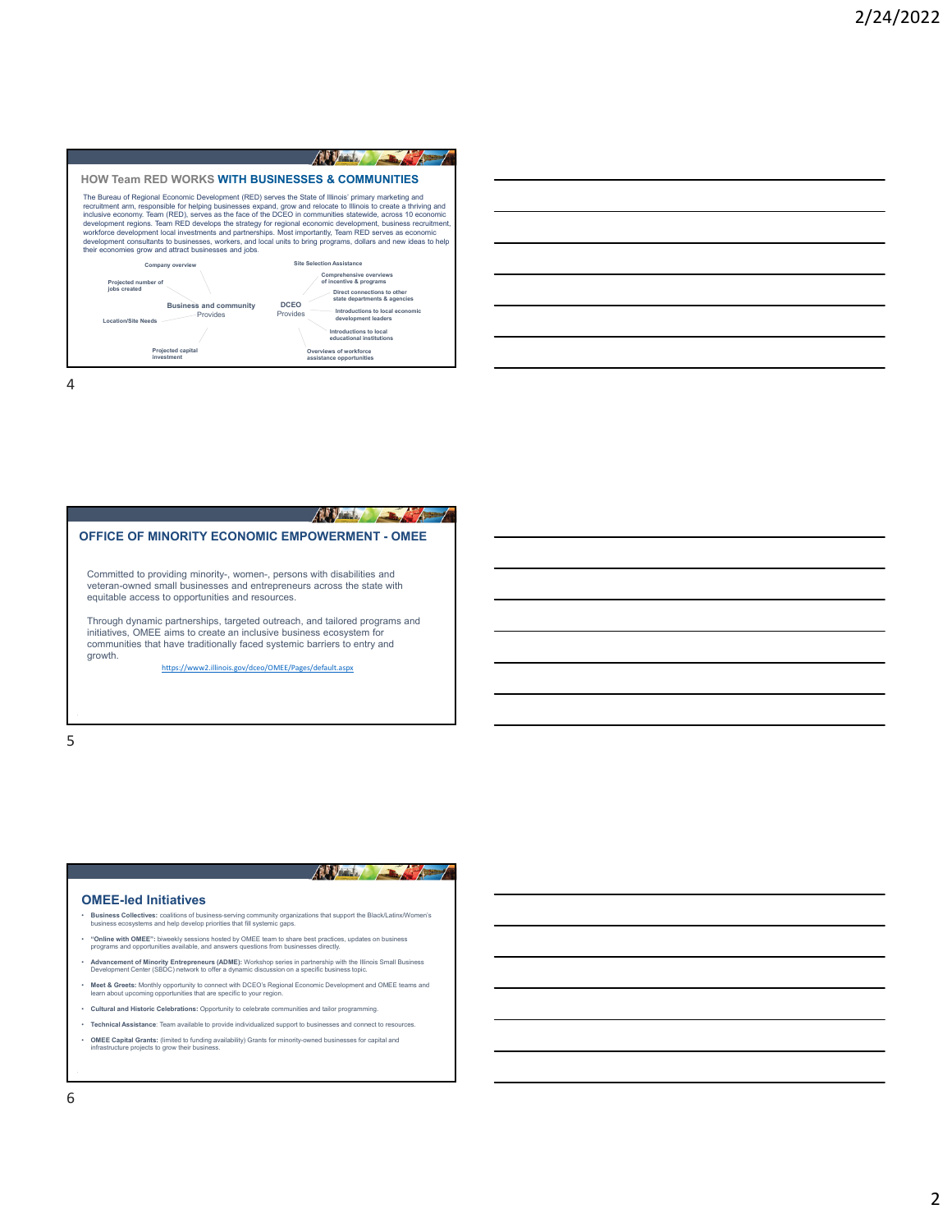



 $\mathbb{A}$ 

#### **OMEE-led Initiatives**

- **Business Collectives:** coalitions of business-serving community organizations that support the Black/Latinx/Women's business ecosystems and help develop priorities that fill systemic gaps.
- **"Online with OMEE":** biweekly sessions hosted by OMEE team to share best practices, updates on business programs and opportunities available, and answers questions from businesses directly.
- **Advancement of Minority Entrepreneurs (ADME):** Workshop series in partnership with the Illinois Small Business Development Center (SBDC) network to offer a dynamic discussion on a specific business topic.
- **Meet & Greets:** Monthly opportunity to connect with DCEO's Regional Economic Development and OMEE teams and learn about upcoming opportunities that are specific to your region.
- **Cultural and Historic Celebrations:** Opportunity to celebrate communities and tailor programming.
- **Technical Assistance**: Team available to provide individualized support to businesses and connect to resources.
- **OMEE Capital Grants:** (limited to funding availability) Grants for minority-owned businesses for capital and infrastructure projects to grow their business.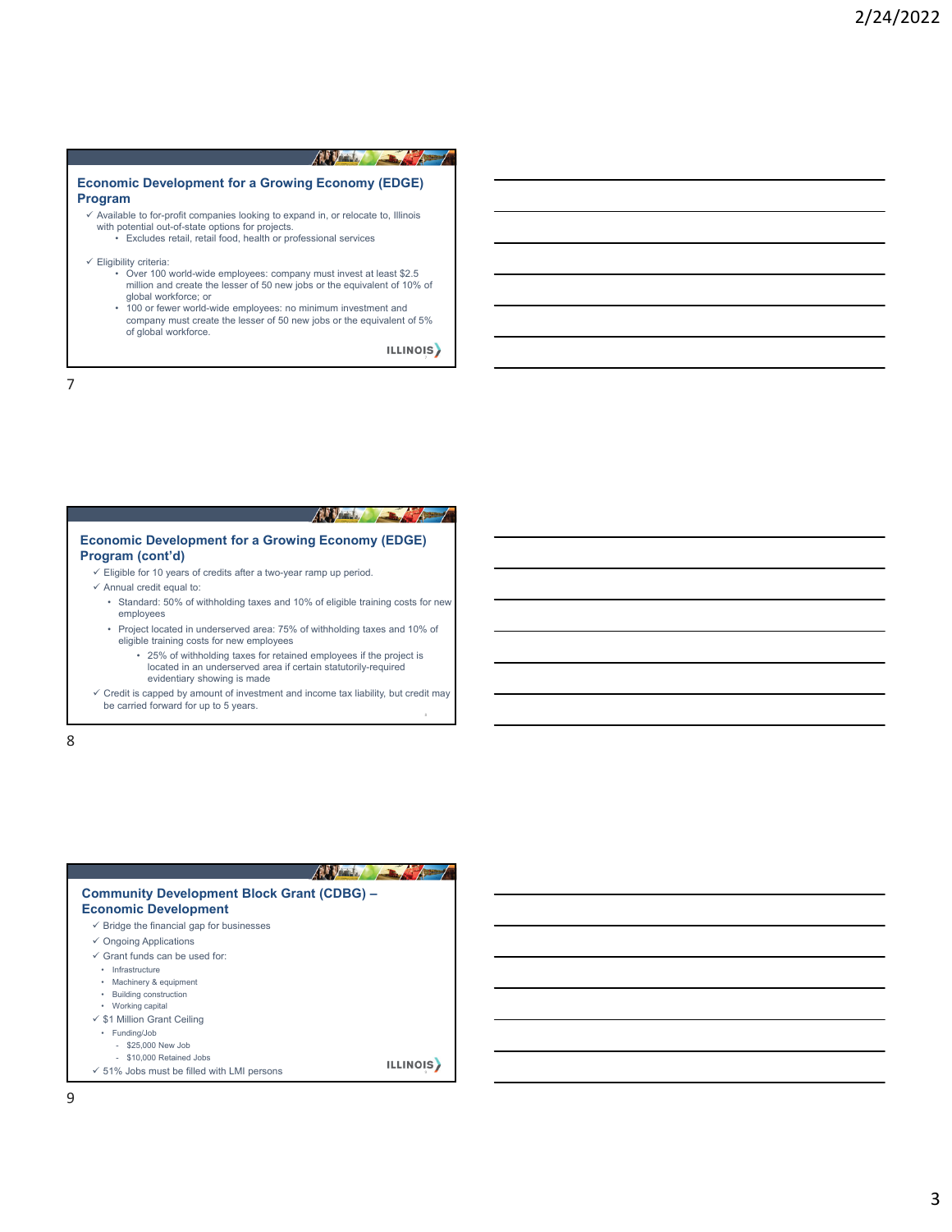| Program | <b>Economic Development for a Growing Economy (EDGE)</b>                                                                                                                                                                                                                                                                                                                         |
|---------|----------------------------------------------------------------------------------------------------------------------------------------------------------------------------------------------------------------------------------------------------------------------------------------------------------------------------------------------------------------------------------|
|         | $\checkmark$ Available to for-profit companies looking to expand in, or relocate to, Illinois<br>with potential out-of-state options for projects.<br>• Excludes retail, retail food, health or professional services                                                                                                                                                            |
|         | $\checkmark$ Eligibility criteria:<br>• Over 100 world-wide employees: company must invest at least \$2.5<br>million and create the lesser of 50 new jobs or the equivalent of 10% of<br>global workforce; or<br>• 100 or fewer world-wide employees: no minimum investment and<br>company must create the lesser of 50 new jobs or the equivalent of 5%<br>of global workforce. |
|         | <b>ILLINOIS</b>                                                                                                                                                                                                                                                                                                                                                                  |

| <b>Economic Development for a Growing Economy (EDGE)</b><br>Program (cont'd)                                                                                         |
|----------------------------------------------------------------------------------------------------------------------------------------------------------------------|
| $\checkmark$ Eligible for 10 years of credits after a two-year ramp up period.                                                                                       |
| $\checkmark$ Annual credit equal to:                                                                                                                                 |
| • Standard: 50% of withholding taxes and 10% of eligible training costs for new<br>employees                                                                         |
| • Project located in underserved area: 75% of withholding taxes and 10% of<br>eligible training costs for new employees                                              |
| • 25% of withholding taxes for retained employees if the project is<br>located in an underserved area if certain statutorily-required<br>evidentiary showing is made |
| $\checkmark$ Credit is capped by amount of investment and income tax liability, but credit may<br>be carried forward for up to 5 years.                              |

| Community Development Block Grant (CDBG) -            |                |
|-------------------------------------------------------|----------------|
| <b>Economic Development</b>                           |                |
| $\checkmark$ Bridge the financial gap for businesses  |                |
| $\checkmark$ Ongoing Applications                     |                |
| $\checkmark$ Grant funds can be used for:             |                |
| Infrastructure<br>٠                                   |                |
| Machinery & equipment                                 |                |
| <b>Building construction</b>                          |                |
| Working capital                                       |                |
| $\checkmark$ \$1 Million Grant Ceiling                |                |
| Funding/Job<br>٠                                      |                |
| \$25,000 New Job                                      |                |
| - \$10,000 Retained Jobs                              |                |
| $\checkmark$ 51% Jobs must be filled with LMI persons | <b>ILLINOI</b> |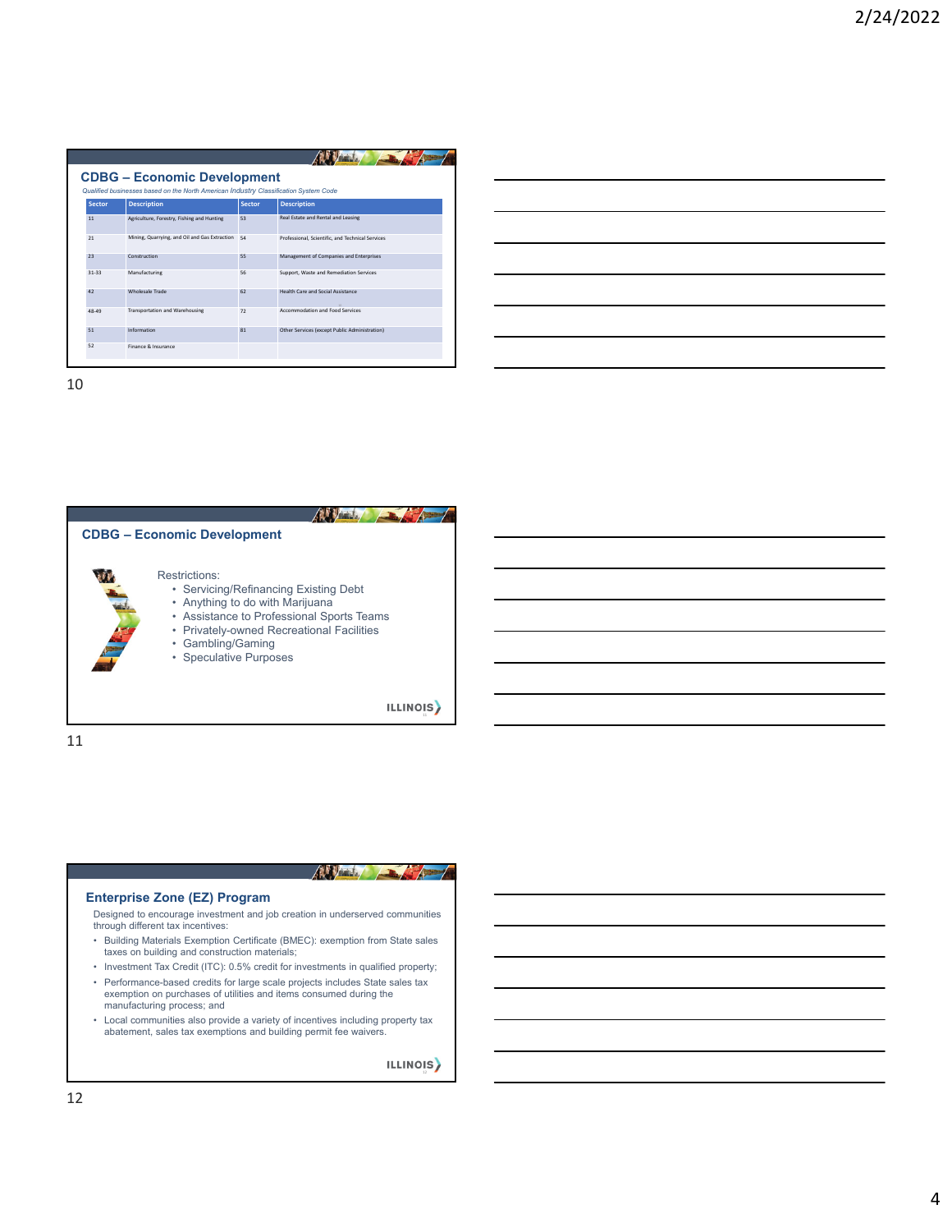|               | Qualified businesses based on the North American Industry Classification System Code |               |                                                  |  |  |
|---------------|--------------------------------------------------------------------------------------|---------------|--------------------------------------------------|--|--|
| <b>Sector</b> | <b>Description</b>                                                                   | <b>Sector</b> | <b>Description</b>                               |  |  |
| 11            | Agriculture, Forestry, Fishing and Hunting                                           | 53            | Real Estate and Rental and Leasing               |  |  |
| 21            | Mining, Quarrying, and Oil and Gas Extraction                                        | 54            | Professional, Scientific, and Technical Services |  |  |
| 23            | Construction                                                                         | 55            | Management of Companies and Enterprises          |  |  |
| $31 - 33$     | Manufacturing                                                                        | 56            | Support, Waste and Remediation Services          |  |  |
| 42            | Wholesale Trade                                                                      | 62            | Health Care and Social Assistance                |  |  |
| 48-49         | Transportation and Warehousing                                                       | 72            | Accommodation and Food Services                  |  |  |
| 51            | Information                                                                          | 81            | Other Services (except Public Administration)    |  |  |



11

 $\mathbb{A}$  and  $\mathbb{A}$ 

## **Enterprise Zone (EZ) Program**

Designed to encourage investment and job creation in underserved communities through different tax incentives:

- Building Materials Exemption Certificate (BMEC): exemption from State sales taxes on building and construction materials;
- Investment Tax Credit (ITC): 0.5% credit for investments in qualified property;
- Performance-based credits for large scale projects includes State sales tax exemption on purchases of utilities and items consumed during the manufacturing process; and
- Local communities also provide a variety of incentives including property tax abatement, sales tax exemptions and building permit fee waivers.

**ILLINOIS**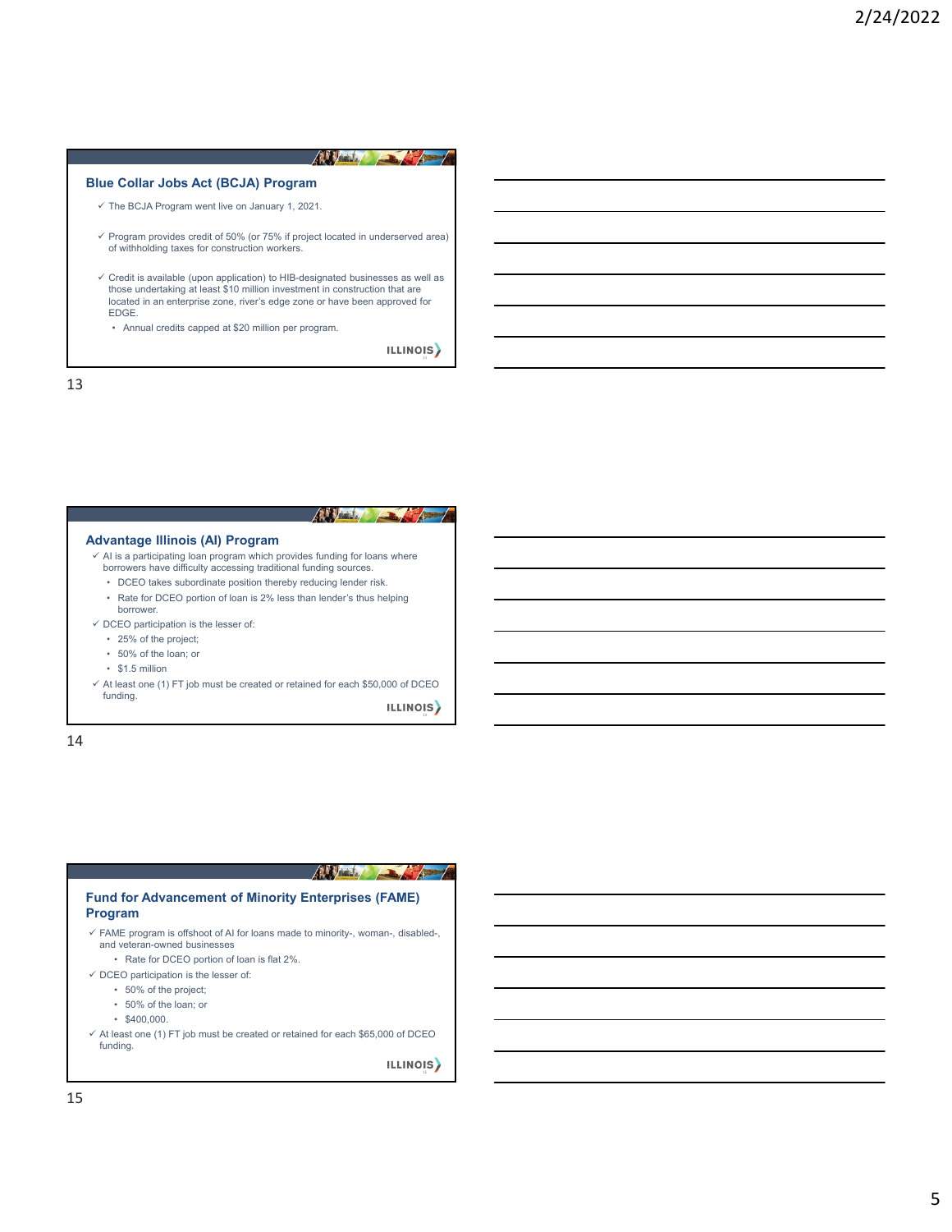



 $\sqrt{2}$ 

#### **Fund for Advancement of Minority Enterprises (FAME) Program**

- FAME program is offshoot of AI for loans made to minority-, woman-, disabled-, and veteran-owned businesses
	- Rate for DCEO portion of loan is flat 2%.
- $\checkmark$  DCEO participation is the lesser of:
	- 50% of the project;
	- 50% of the loan; or
	- $•$  \$400,000.
- $\checkmark$  At least one (1) FT job must be created or retained for each \$65,000 of DCEO funding.

**ILLINOIS**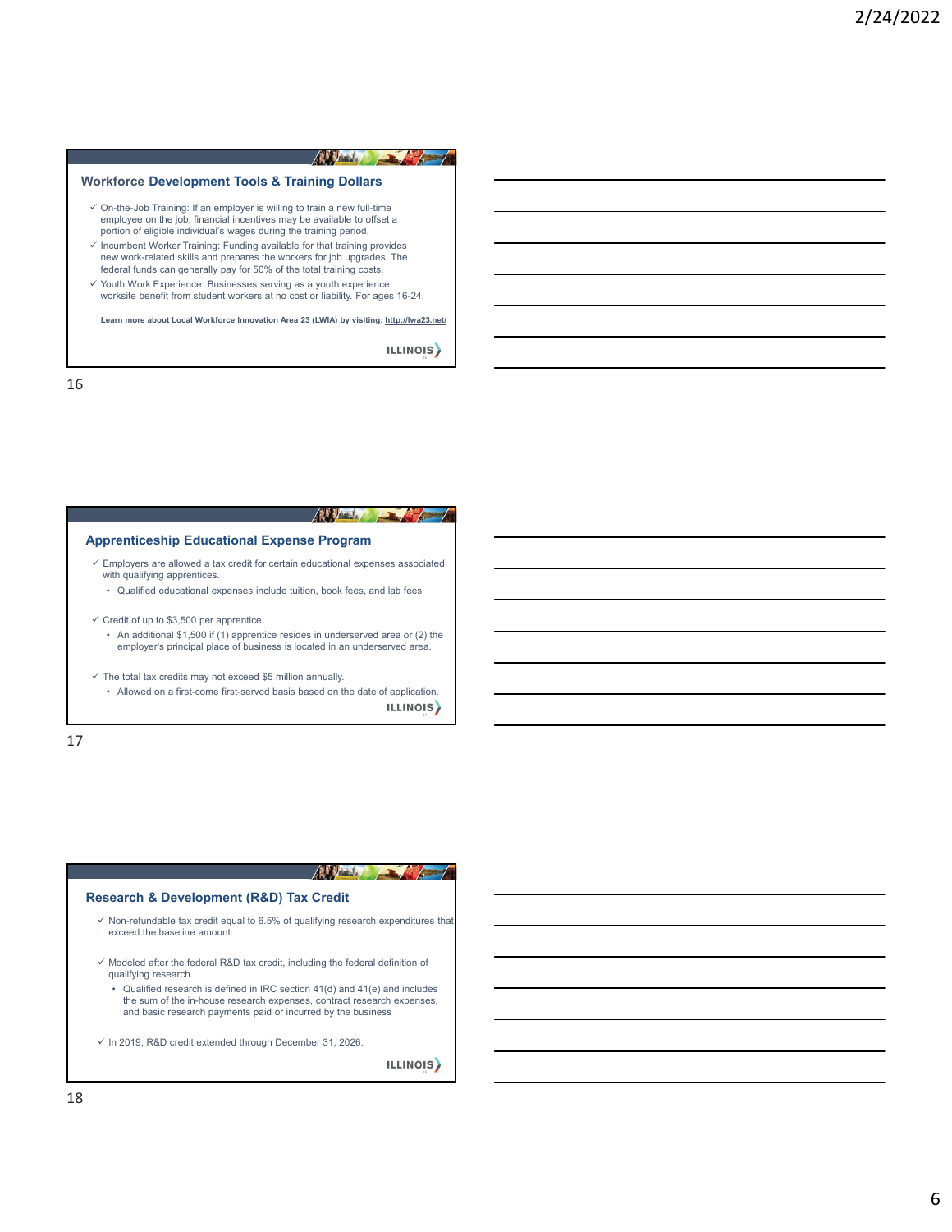# $\mathbb{A}$  and  $\mathbb{A}$

## **Workforce Development Tools & Training Dollars**

- $\checkmark$  On-the-Job Training: If an employer is willing to train a new full-time employee on the job, financial incentives may be available to offset a portion of eligible individual's wages during the training period.
- $\checkmark$  Incumbent Worker Training: Funding available for that training provides new work-related skills and prepares the workers for job upgrades. The federal funds can generally pay for 50% of the total training costs.
- Youth Work Experience: Businesses serving as a youth experience worksite benefit from student workers at no cost or liability. For ages 16-24.

**Learn more about Local Workforce Innovation Area 23 (LWIA) by visiting: http://lwa23.net/**

**ILLINOIS** 

16

|                                                     | <b>Apprenticeship Educational Expense Program</b>                                                                                                             |
|-----------------------------------------------------|---------------------------------------------------------------------------------------------------------------------------------------------------------------|
| with qualifying apprentices.                        | $\checkmark$ Employers are allowed a tax credit for certain educational expenses associated                                                                   |
|                                                     | • Qualified educational expenses include tuition, book fees, and lab fees                                                                                     |
| $\checkmark$ Credit of up to \$3,500 per apprentice |                                                                                                                                                               |
|                                                     | • An additional \$1,500 if (1) apprentice resides in underserved area or (2) the<br>employer's principal place of business is located in an underserved area. |
|                                                     | $\checkmark$ The total tax credits may not exceed \$5 million annually.                                                                                       |
|                                                     | • Allowed on a first-come first-served basis based on the date of application.                                                                                |
|                                                     |                                                                                                                                                               |

# $\mathbb{A}$  and  $\mathbb{A}$

#### **Research & Development (R&D) Tax Credit**

- $\checkmark$  Non-refundable tax credit equal to 6.5% of qualifying research expenditures that exceed the baseline amount.
- $\checkmark$  Modeled after the federal R&D tax credit, including the federal definition of qualifying research.
	- Qualified research is defined in IRC section 41(d) and 41(e) and includes the sum of the in-house research expenses, contract research expenses, and basic research payments paid or incurred by the business
- $\checkmark$  In 2019, R&D credit extended through December 31, 2026.

**ILLINOIS** 

17